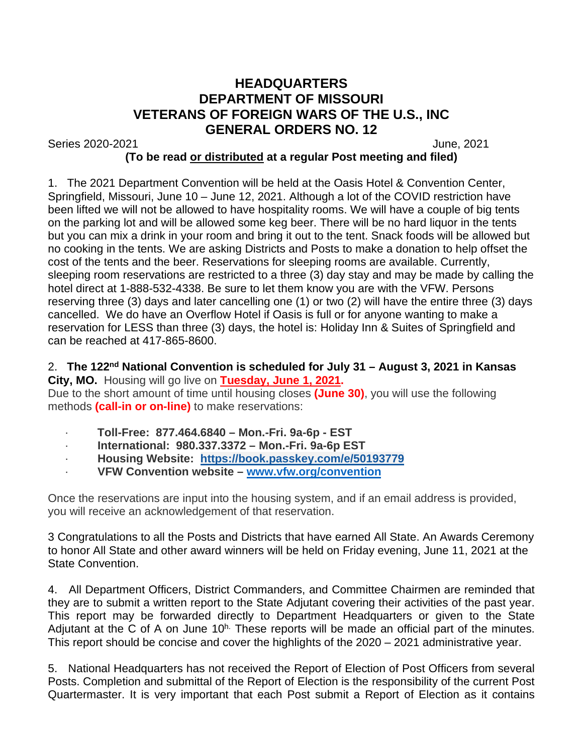## **HEADQUARTERS DEPARTMENT OF MISSOURI VETERANS OF FOREIGN WARS OF THE U.S., INC GENERAL ORDERS NO. 12**

Series 2020-2021 June, 2021

## **(To be read or distributed at a regular Post meeting and filed)**

1. The 2021 Department Convention will be held at the Oasis Hotel & Convention Center, Springfield, Missouri, June 10 – June 12, 2021. Although a lot of the COVID restriction have been lifted we will not be allowed to have hospitality rooms. We will have a couple of big tents on the parking lot and will be allowed some keg beer. There will be no hard liquor in the tents but you can mix a drink in your room and bring it out to the tent. Snack foods will be allowed but no cooking in the tents. We are asking Districts and Posts to make a donation to help offset the cost of the tents and the beer. Reservations for sleeping rooms are available. Currently, sleeping room reservations are restricted to a three (3) day stay and may be made by calling the hotel direct at 1-888-532-4338. Be sure to let them know you are with the VFW. Persons reserving three (3) days and later cancelling one (1) or two (2) will have the entire three (3) days cancelled. We do have an Overflow Hotel if Oasis is full or for anyone wanting to make a reservation for LESS than three (3) days, the hotel is: Holiday Inn & Suites of Springfield and can be reached at 417-865-8600.

## 2. **The 122nd National Convention is scheduled for July 31 – August 3, 2021 in Kansas City, MO.** Housing will go live on **Tuesday, June 1, 2021.**

Due to the short amount of time until housing closes **(June 30)**, you will use the following methods **(call-in or on-line)** to make reservations:

- · **Toll-Free: 877.464.6840 – Mon.-Fri. 9a-6p - EST**
- · **International: 980.337.3372 – Mon.-Fri. 9a-6p EST**
- · **Housing Website: <https://book.passkey.com/e/50193779>**
- · **VFW Convention website – [www.vfw.org/convention](http://www.vfw.org/convention)**

Once the reservations are input into the housing system, and if an email address is provided, you will receive an acknowledgement of that reservation.

3 Congratulations to all the Posts and Districts that have earned All State. An Awards Ceremony to honor All State and other award winners will be held on Friday evening, June 11, 2021 at the State Convention.

4. All Department Officers, District Commanders, and Committee Chairmen are reminded that they are to submit a written report to the State Adjutant covering their activities of the past year. This report may be forwarded directly to Department Headquarters or given to the State Adjutant at the C of A on June  $10<sup>h</sup>$ . These reports will be made an official part of the minutes. This report should be concise and cover the highlights of the 2020 – 2021 administrative year.

5. National Headquarters has not received the Report of Election of Post Officers from several Posts. Completion and submittal of the Report of Election is the responsibility of the current Post Quartermaster. It is very important that each Post submit a Report of Election as it contains